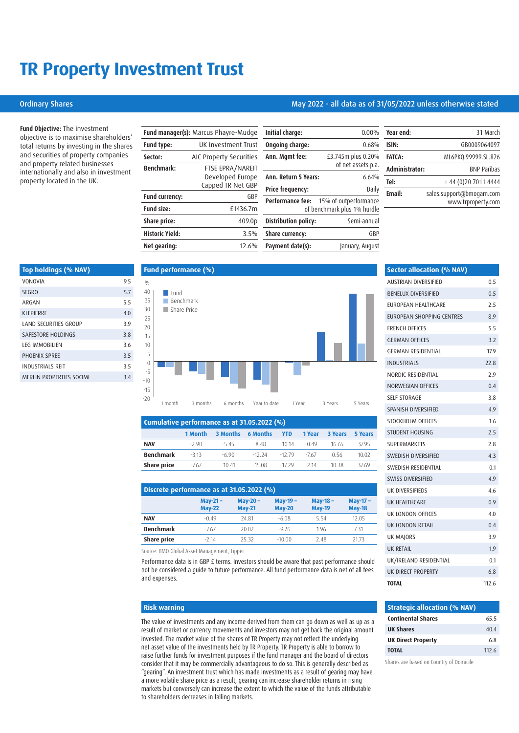# **TR Property Investment Trust**

## Ordinary Shares May 2022 - all data as of 31/05/2022 unless otherwise stated

**Fund Objective:** The investment objective is to maximise shareholders' total returns by investing in the shares and securities of property companies and property related businesses internationally and also in investment property located in the UK.

| <b>Fund manager(s):</b> Marcus Phayre-Mudge |                         |  |
|---------------------------------------------|-------------------------|--|
| Fund type:                                  | UK Investment Trust     |  |
| Sector:                                     | AIC Property Securities |  |
| <b>Benchmark:</b>                           | FTSE EPRA/NAREIT        |  |
|                                             | Developed Europe        |  |
|                                             | Capped TR Net GBP       |  |
| <b>Fund currency:</b>                       | GBP                     |  |
| Fund size:                                  | £1436.7m                |  |
| Share price:                                | 409.0p                  |  |
| <b>Historic Yield:</b>                      | 3.5%                    |  |
| Net gearing:                                | 12.6%                   |  |

| Initial charge:             | $0.00\%$                                             |
|-----------------------------|------------------------------------------------------|
| Ongoing charge:             | 0.68%                                                |
| Ann. Mgmt fee:              | £3.745m plus 0.20%<br>of net assets p.a.             |
| Ann. Return 5 Years:        | 6.64%                                                |
| <b>Price frequency:</b>     | Daily                                                |
| Performance fee:            | 15% of outperformance<br>of benchmark plus 1% hurdle |
| <b>Distribution policy:</b> | Semi-annual                                          |
| Share currency:             | GBP                                                  |
| Payment date(s):            | January, August                                      |

| Year end:      | 31 March                                       |
|----------------|------------------------------------------------|
| ISIN:          | GB0009064097                                   |
| <b>FATCA:</b>  | ML6PKQ.99999.SL.826                            |
| Administrator: | <b>BNP Paribas</b>                             |
| Tel:           | + 44 (0) 20 7011 4444                          |
| <b>Fmail:</b>  | sales.support@bmogam.com<br>www.trproperty.com |
|                |                                                |

| Top holdings (% NAV)            |     |
|---------------------------------|-----|
| <b>VONOVIA</b>                  | 95  |
| <b>SEGRO</b>                    | 5.7 |
| ARGAN                           | 55  |
| KLEPIERRE                       | 4.0 |
| LAND SECURITIES GROUP           | 39  |
| SAFESTORE HOLDINGS              | 38  |
| <b>LEG IMMORILIEN</b>           | 36  |
| PHOENIX SPREE                   | 3.5 |
| <b>INDUSTRIALS REIT</b>         | 3.5 |
| <b>MERLIN PROPERTIES SOCIMI</b> | 3.4 |
|                                 |     |



| Cumulative performance as at 31.05.2022 (%) |         |                 |                 |            |         |                |         |
|---------------------------------------------|---------|-----------------|-----------------|------------|---------|----------------|---------|
|                                             | 1 Month | <b>3 Months</b> | <b>6 Months</b> | <b>YTD</b> | 1 Year  | <b>3 Years</b> | 5 Years |
| <b>NAV</b>                                  | -2.90   | $-545$          | -8.48           | $-1014$    | $-0.49$ | 16.65          | 3795    |
| <b>Benchmark</b>                            | $-313$  | $-690$          | $-12, 24$       | $-1279$    | -767    | 0.56           | 10.02   |
| Share price                                 | -767    | $-10.41$        | $-15.08$        | $-1729$    | $-214$  | 1038           | 37.69   |

| Discrete performance as at 31.05.2022 (%) |                            |                             |                           |                           |                           |
|-------------------------------------------|----------------------------|-----------------------------|---------------------------|---------------------------|---------------------------|
|                                           | $May-21-$<br><b>May-22</b> | May-20 $-$<br><b>May-21</b> | May-19 -<br><b>May-20</b> | May-18 -<br><b>May-19</b> | May-17 -<br><b>May-18</b> |
| <b>NAV</b>                                | $-0.49$                    | 24 81                       | $-6.08$                   | 5.54                      | 12.05                     |
| <b>Benchmark</b>                          | $-767$                     | 20.02                       | $-976$                    | 1.96                      | 731                       |
| Share price                               | -7 14                      | 25.32                       | $-10.00$                  | 248                       | 21.73                     |
|                                           |                            |                             |                           |                           |                           |

Source: BMO Global Asset Management, Lipper

Performance data is in GBP £ terms. Investors should be aware that past performance should not be considered a guide to future performance. All fund performance data is net of all fees and expenses.

### **Risk warning**

The value of investments and any income derived from them can go down as well as up as a result of market or currency movements and investors may not get back the original amount invested. The market value of the shares of TR Property may not reflect the underlying net asset value of the investments held by TR Property. TR Property is able to borrow to raise further funds for investment purposes if the fund manager and the board of directors consider that it may be commercially advantageous to do so. This is generally described as "gearing". An investment trust which has made investments as a result of gearing may have a more volatile share price as a result; gearing can increase shareholder returns in rising markets but conversely can increase the extent to which the value of the funds attributable to shareholders decreases in falling markets.

| <b>Sector allocation (% NAV)</b> |       |
|----------------------------------|-------|
| <b>AUSTRIAN DIVERSIFIED</b>      | 0.5   |
| <b>BENELUX DIVERSIFIED</b>       | 0.5   |
| <b>FUROPEAN HEALTHCARE</b>       | 2.5   |
| EUROPEAN SHOPPING CENTRES        | 8.9   |
| <b>FRENCH OFFICES</b>            | 5.5   |
| <b>GERMAN OFFICES</b>            | 3.2   |
| <b>GERMAN RESIDENTIAL</b>        | 17.9  |
| <b>INDUSTRIALS</b>               | 22.8  |
| NORDIC RESIDENTIAL               | 2.9   |
| NORWEGIAN OFFICES                | 0.4   |
| <b>SELF STORAGE</b>              | 3.8   |
| SPANISH DIVERSIFIED              | 4.9   |
| STOCKHOLM OFFICES                | 1.6   |
| <b>STUDENT HOUSING</b>           | 2.5   |
| <b>SUPERMARKETS</b>              | 2.8   |
| SWEDISH DIVERSIFIED              | 4.3   |
| <b>SWEDISH RESIDENTIAL</b>       | 0.1   |
| <b>SWISS DIVERSIFIED</b>         | 4.9   |
| UK DIVERSIFIEDS                  | 4.6   |
| <b>UK HEALTHCARE</b>             | 0.9   |
| UK LONDON OFFICES                | 4.0   |
| UK LONDON RETAIL                 | 0.4   |
| <b>UK MAJORS</b>                 | 3.9   |
| <b>UK RETAIL</b>                 | 1.9   |
| UK/IRELAND RESIDENTIAL           | 0.1   |
| UK DIRECT PROPERTY               | 6.8   |
| <b>TOTAL</b>                     | 112.6 |

| <b>Strategic allocation (% NAV)</b> |      |  |
|-------------------------------------|------|--|
| <b>Continental Shares</b>           | 655  |  |
| <b>UK Shares</b>                    | 404  |  |
| <b>UK Direct Property</b>           | 68   |  |
| <b>TOTAL</b>                        | 1126 |  |

Shares are based on Country of Domicile